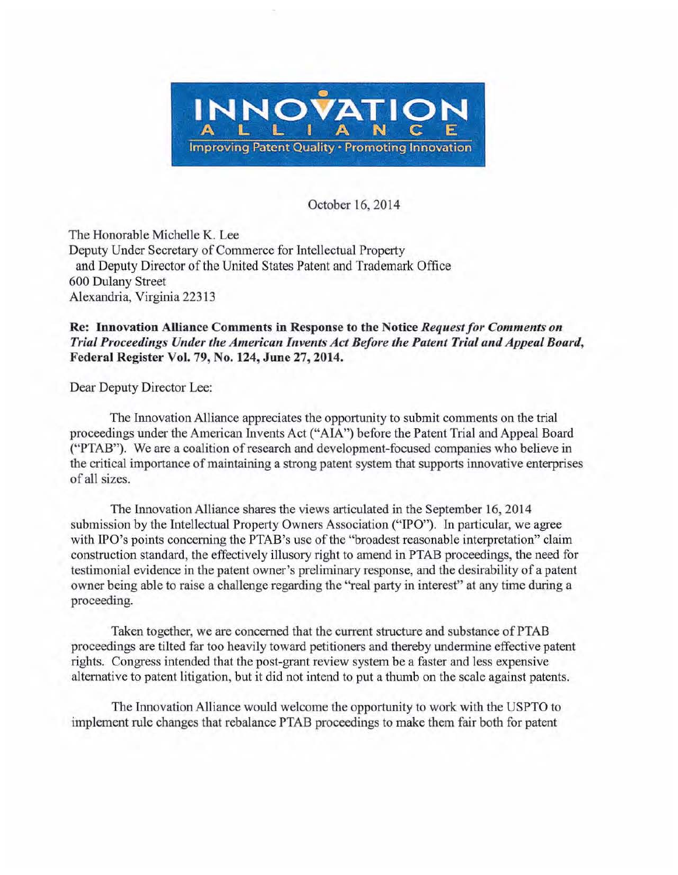

October 16, 2014

The Honorable Michelle K. Lee Deputy Under Secretary of Commerce for Intellectual Property and Deputy Director of the United States Patent and Trademark Office 600 Dulany Street Alexandria, Virginia 22313

## Re: Innovation Alliance Comments in Response to the Notice *Request for Comments on Trial Proceedings Under the American Invents Act Before the Patent Trial and Appeal Board,*  Federal Register Vol. 79, No. 124, June 27, 2014.

Dear Deputy Director Lee:

The Innovation Alliance appreciates the opportunity to submit comments on the trial proceedings under the American Invents Act ("AlA") before the Patent Trial and Appeal Board ("PTAB"). We are a coalition ofresearch and development-focused companies who believe in the critical importance of maintaining a strong patent system that supports innovative enterprises of all sizes.

The Innovation Alliance shares the views articulated in the September 16, 2014 submission by the Intellectual Property Owners Association ("IPO"). In particular, we agree with IPO's points concerning the PTAB's use of the "broadest reasonable interpretation" claim construction standard, the effectively illusory right to amend in PTAB proceedings, the need for testimonial evidence in the patent owner's preliminary response, and the desirability of a patent owner being able to raise a challenge regarding the "real party in interest" at any time during a proceeding.

Taken together, we are concerned that the current structure and substance of PTAB proceedings are tilted far too heavily toward petitioners and thereby undermine effective patent rights. Congress intended that the post-grant review system be a faster and less expensive alternative to patent litigation, but it did not intend to put a thumb on the scale against patents.

The Innovation Alliance would welcome the opportunity to work with the USPTO to implement rule changes that rebalance PTAB proceedings to make them fair both for patent